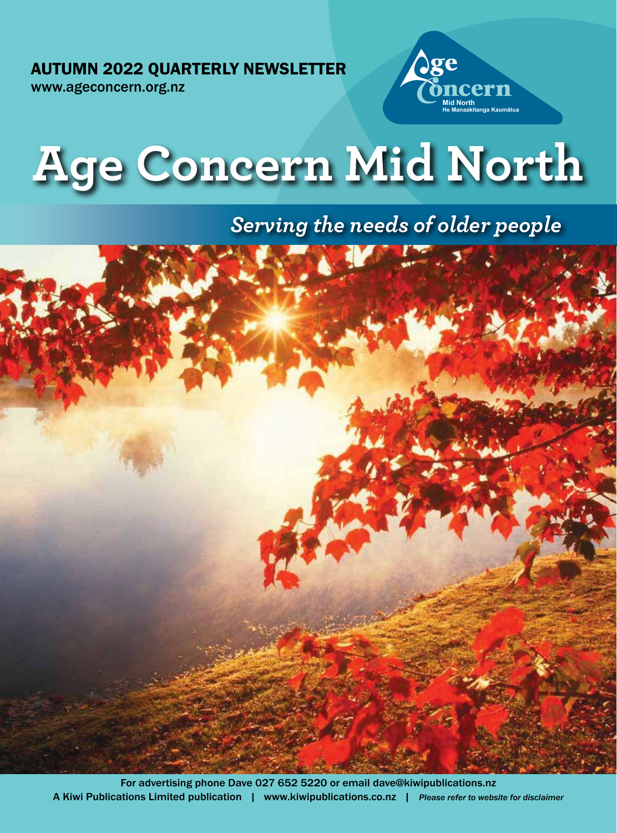AUTUMN 2022 QUARTERLY NEWSLETTER

www.ageconcern.org.nz





# *Serving the needs of older people*

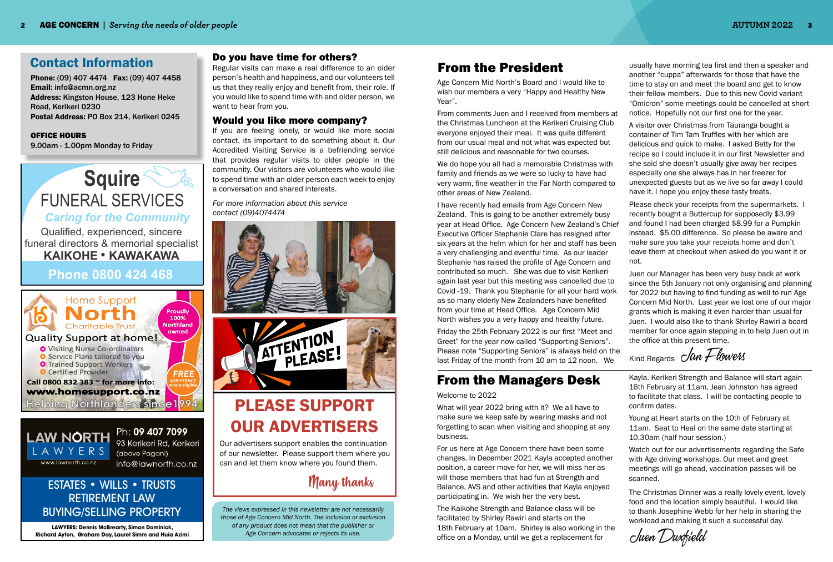# Contact Information

Phone: (09) 407 4474 Fax: (09) 407 4458 Email: info@acmn.org.nz Address: Kingston House, 123 Hone Heke Road, Kerikeri 0230 Postal Address: PO Box 214, Kerikeri 0245

#### OFFICE HOURS

9.00am - 1.00pm Monday to Friday

### Do you have time for others?

Regular visits can make a real difference to an older person's health and happiness, and our volunteers tell us that they really enjoy and benefit from, their role. If you would like to spend time with and older person, we want to hear from you.

### Would you like more company?





Ph: 09 407 7099 93 Kerikeri Rd, Kerikeri (above Pagani) info@lawnorth.co.nz

If you are feeling lonely, or would like more social contact, its important to do something about it. Our Accredited Visiting Service is a befriending service that provides regular visits to older people in the community. Our visitors are volunteers who would like to spend time with an older person each week to enjoy a conversation and shared interests.

*For more information about this service contact (09)4074474*



*The views expressed in this newsletter are not necessarily those of Age Concern Mid North. The inclusion or exclusion of any product does not mean that the publisher or Age Concern advocates or rejects its use.*

# From the President

**LAWYERS: Dennis McBrearty, Simon Dominick, Richard Ayton, Graham Day, Laurel Simm and Huia Azimi**

# ESTATES • WILLS • TRUSTS RETIREMENT LAW BUYING/SELLING PROPERTY

# From the Managers Desk

Juen Duxfield

#### Welcome to 2022

What will year 2022 bring with it? We all have to make sure we keep safe by wearing masks and not forgetting to scan when visiting and shopping at any business.

For us here at Age Concern there have been some changes. In December 2021 Kayla accepted another position, a career move for her, we will miss her as will those members that had fun at Strength and Balance, AVS and other activities that Kayla enjoyed participating in. We wish her the very best.

The Kaikohe Strength and Balance class will be facilitated by Shirley Rawiri and starts on the 18th February at 10am. Shirley is also working in the office on a Monday, until we get a replacement for

Age Concern Mid North's Board and I would like to wish our members a very "Happy and Healthy New Year".

From comments Juen and I received from members at the Christmas Luncheon at the Kerikeri Cruising Club everyone enjoyed their meal. It was quite different from our usual meal and not what was expected but still delicious and reasonable for two courses.

We do hope you all had a memorable Christmas with family and friends as we were so lucky to have had very warm, fine weather in the Far North compared to other areas of New Zealand.

I have recently had emails from Age Concern New Zealand. This is going to be another extremely busy year at Head Office. Age Concern New Zealand's Chief Executive Officer Stephanie Clare has resigned after six years at the helm which for her and staff has been a very challenging and eventful time. As our leader Stephanie has raised the profile of Age Concern and contributed so much. She was due to visit Kerikeri again last year but this meeting was cancelled due to Covid -19. Thank you Stephanie for all your hard work as so many elderly New Zealanders have benefited from your time at Head Office. Age Concern Mid North wishes you a very happy and healthy future.

Friday the 25th February 2022 is our first "Meet and Greet" for the year now called "Supporting Seniors". Please note "Supporting Seniors" is always held on the last Friday of the month from 10 am to 12 noon. We

usually have morning tea first and then a speaker and another "cuppa" afterwards for those that have the time to stay on and meet the board and get to know their fellow members. Due to this new Covid variant "Omicron" some meetings could be cancelled at short notice. Hopefully not our first one for the year.

A visitor over Christmas from Tauranga bought a container of Tim Tam Truffles with her which are delicious and quick to make. I asked Betty for the recipe so I could include it in our first Newsletter and she said she doesn't usually give away her recipes especially one she always has in her freezer for unexpected guests but as we live so far away I could have it. I hope you enjoy these tasty treats.

Please check your receipts from the supermarkets. I recently bought a Buttercup for supposedly \$3.99 and found I had been charged \$8.99 for a Pumpkin instead. \$5.00 difference. So please be aware and make sure you take your receipts home and don't leave them at checkout when asked do you want it or

not.

Juen our Manager has been very busy back at work since the 5th January not only organising and planning for 2022 but having to find funding as well to run Age Concern Mid North. Last year we lost one of our major grants which is making it even harder than usual for Juen. I would also like to thank Shirley Rawiri a board member for once again stepping in to help Juen out in the office at this present time.

Kind Regards *Jan Flowers* 

Kayla. Kerikeri Strength and Balance will start again 16th February at 11am, Jean Johnston has agreed to facilitate that class. I will be contacting people to confirm dates.

Young at Heart starts on the 10th of February at 11am. Seat to Heal on the same date starting at 10.30am (half hour session.)

Watch out for our advertisements regarding the Safe with Age driving workshops. Our meet and greet meetings will go ahead, vaccination passes will be

scanned.

The Christmas Dinner was a really lovely event, lovely food and the location simply beautiful. I would like to thank Josephine Webb for her help in sharing the workload and making it such a successful day.



# PLEASE SUPPORT OUR ADVERTISERS

Many thanks

Our advertisers support enables the continuation of our newsletter. Please support them where you can and let them know where you found them.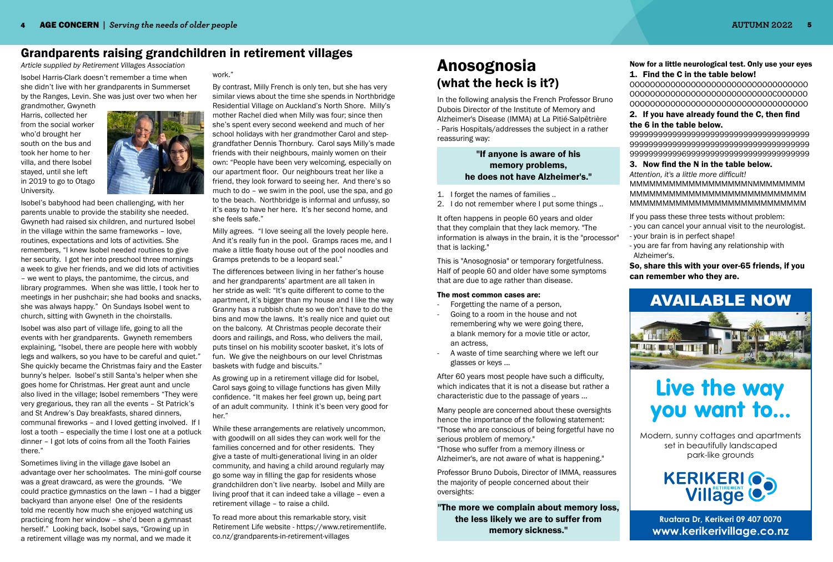Isobel Harris-Clark doesn't remember a time when she didn't live with her grandparents in Summerset by the Ranges, Levin. She was just over two when her

grandmother, Gwyneth Harris, collected her from the social worker who'd brought her south on the bus and took her home to her villa, and there Isobel stayed, until she left in 2019 to go to Otago University.



Isobel's babyhood had been challenging, with her parents unable to provide the stability she needed. Gwyneth had raised six children, and nurtured Isobel in the village within the same frameworks – love, routines, expectations and lots of activities. She remembers, "I knew Isobel needed routines to give her security. I got her into preschool three mornings a week to give her friends, and we did lots of activities – we went to plays, the pantomime, the circus, and library programmes. When she was little, I took her to meetings in her pushchair; she had books and snacks, she was always happy." On Sundays Isobel went to church, sitting with Gwyneth in the choirstalls.

Isobel was also part of village life, going to all the events with her grandparents. Gwyneth remembers explaining, "Isobel, there are people here with wobbly legs and walkers, so you have to be careful and quiet." She quickly became the Christmas fairy and the Easter bunny's helper. Isobel's still Santa's helper when she goes home for Christmas. Her great aunt and uncle also lived in the village; Isobel remembers "They were very gregarious, they ran all the events – St Patrick's and St Andrew's Day breakfasts, shared dinners, communal fireworks – and I loved getting involved. If I lost a tooth – especially the time I lost one at a potluck dinner – I got lots of coins from all the Tooth Fairies there."

Sometimes living in the village gave Isobel an advantage over her schoolmates. The mini-golf course was a great drawcard, as were the grounds. "We could practice gymnastics on the lawn – I had a bigger backyard than anyone else! One of the residents told me recently how much she enjoyed watching us practicing from her window – she'd been a gymnast herself." Looking back, Isobel says, "Growing up in a retirement village was my normal, and we made it

work."

By contrast, Milly French is only ten, but she has very similar views about the time she spends in Northbridge Residential Village on Auckland's North Shore. Milly's mother Rachel died when Milly was four; since then she's spent every second weekend and much of her school holidays with her grandmother Carol and stepgrandfather Dennis Thornbury. Carol says Milly's made friends with their neighbours, mainly women on their own: "People have been very welcoming, especially on our apartment floor. Our neighbours treat her like a friend, they look forward to seeing her. And there's so much to do – we swim in the pool, use the spa, and go to the beach. Northbridge is informal and unfussy, so it's easy to have her here. It's her second home, and she feels safe."

Milly agrees. "I love seeing all the lovely people here. And it's really fun in the pool. Gramps races me, and I make a little floaty house out of the pool noodles and Gramps pretends to be a leopard seal."

The differences between living in her father's house and her grandparents' apartment are all taken in her stride as well: "It's quite different to come to the apartment, it's bigger than my house and I like the way Granny has a rubbish chute so we don't have to do the bins and mow the lawns. It's really nice and quiet out on the balcony. At Christmas people decorate their doors and railings, and Ross, who delivers the mail, puts tinsel on his mobility scooter basket, it's lots of fun. We give the neighbours on our level Christmas baskets with fudge and biscuits."

As growing up in a retirement village did for Isobel, Carol says going to village functions has given Milly confidence. "It makes her feel grown up, being part of an adult community. I think it's been very good for her."

While these arrangements are relatively uncommon, with goodwill on all sides they can work well for the families concerned and for other residents. They give a taste of multi-generational living in an older community, and having a child around regularly may go some way in filling the gap for residents whose grandchildren don't live nearby. Isobel and Milly are living proof that it can indeed take a village – even a retirement village – to raise a child.

To read more about this remarkable story, visit Retirement Life website - https://www.retirementlife. co.nz/grandparents-in-retirement-villages

# Grandparents raising grandchildren in retirement villages

*Article supplied by Retirement Villages Association*

In the following analysis the French Professor Bruno Dubois Director of the Institute of Memory and Alzheimer's Disease (IMMA) at La Pitié-Salpêtrière - Paris Hospitals/addresses the subject in a rather reassuring way:

### "If anyone is aware of his memory problems, he does not have Alzheimer's."

- 1. I forget the names of families ..
- 2. I do not remember where I put some things ..

It often happens in people 60 years and older that they complain that they lack memory. "The information is always in the brain, it is the "processor" that is lacking."

This is "Anosognosia" or temporary forgetfulness. Half of people 60 and older have some symptoms that are due to age rather than disease.

#### The most common cases are:

- Forgetting the name of a person,
- Going to a room in the house and not remembering why we were going there, a blank memory for a movie title or actor, an actress,
- A waste of time searching where we left our glasses or keys ...

After 60 years most people have such a difficulty, which indicates that it is not a disease but rather a characteristic due to the passage of years ...

Many people are concerned about these oversights hence the importance of the following statement: "Those who are conscious of being forgetful have no serious problem of memory."

"Those who suffer from a memory illness or Alzheimer's, are not aware of what is happening."

Professor Bruno Dubois, Director of IMMA, reassures the majority of people concerned about their oversights:

"The more we complain about memory loss, the less likely we are to suffer from memory sickness."

# Anosognosia (what the heck is it?)

#### Now for a little neurological test. Only use your eyes 1. Find the C in the table below!

OOOOOOOOOOOOOOOOOOOOOOOOOOOOOOOOOOO OOOOOOOOOOOOOOOOOOOOOOOOOOOOCOOOOOO OOOOOOOOOOOOOOOOOOOOOOOOOOOOOOOOOOO

### 2. If you have already found the C, then find the 6 in the table below.

99999999999999999999999999999999999999 99999999999999999999999999999999999999 99999999999699999999999999999999999999

3. Now find the N in the table below. *Attention, it's a little more difficult!* MMMMMMMMMMMMMMMMMMNMMMMMMMM MMMMMMMMMMMMMMMMMMMMMMMMMMM MMMMMMMMMMMMMMMMMMMMMMMMMMM

If you pass these three tests without problem: - you can cancel your annual visit to the neurologist. - your brain is in perfect shape!

- you are far from having any relationship with

- 
- 
- Alzheimer's.

So, share this with your over-65 friends, if you can remember who they are.

> **Ruatara Dr, Kerikeri 09 407 0070 www.kerikerivillage.co.nz**

Modern, sunny cottages and apartments set in beautifully landscaped park-like grounds

# Live the way you want to...







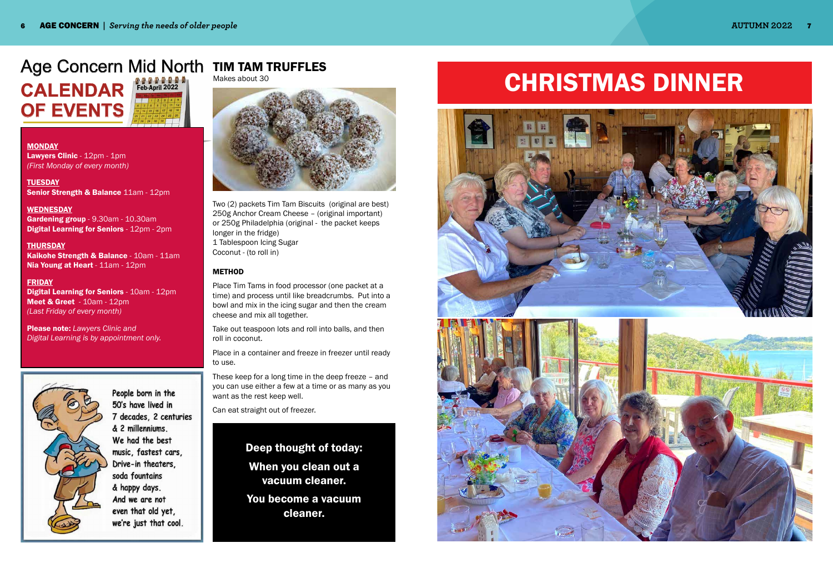**CALENDAR OF EVENTS** Feb-April 2022

**MONDAY** Lawyers Clinic - 12pm - 1pm *(First Monday of every month)*

**TUESDAY** Senior Strength & Balance 11am - 12pm

#### **WEDNESDAY**

Gardening group - 9.30am - 10.30am Digital Learning for Seniors - 12pm - 2pm

**THURSDAY** Kaikohe Strength & Balance - 10am - 11am Nia Young at Heart - 11am - 12pm

### Age Concern Mid North TIM TAM TRUFFLES Makes about 30

#### FRIDAY

Digital Learning for Seniors - 10am - 12pm Meet & Greet - 10am - 12pm *(Last Friday of every month)* 

Please note: *Lawyers Clinic and Digital Learning is by appointment only.*



People born in the 50's have lived in 7 decades, 2 centuries & 2 millenniums. We had the best music, fastest cars, Drive-in theaters, soda fountains & happy days. And we are not even that old yet, we're just that cool.



Two (2) packets Tim Tam Biscuits (original are best) 250g Anchor Cream Cheese – (original important) or 250g Philadelphia (original - the packet keeps longer in the fridge) 1 Tablespoon Icing Sugar Coconut - (to roll in)

#### METHOD

Place Tim Tams in food processor (one packet at a time) and process until like breadcrumbs. Put into a bowl and mix in the icing sugar and then the cream cheese and mix all together.

Take out teaspoon lots and roll into balls, and then roll in coconut.

Place in a container and freeze in freezer until ready to use.

These keep for a long time in the deep freeze – and you can use either a few at a time or as many as you want as the rest keep well.

Can eat straight out of freezer.

# Deep thought of today: When you clean out a vacuum cleaner.

You become a vacuum cleaner.

# CHRISTMAS DINNER